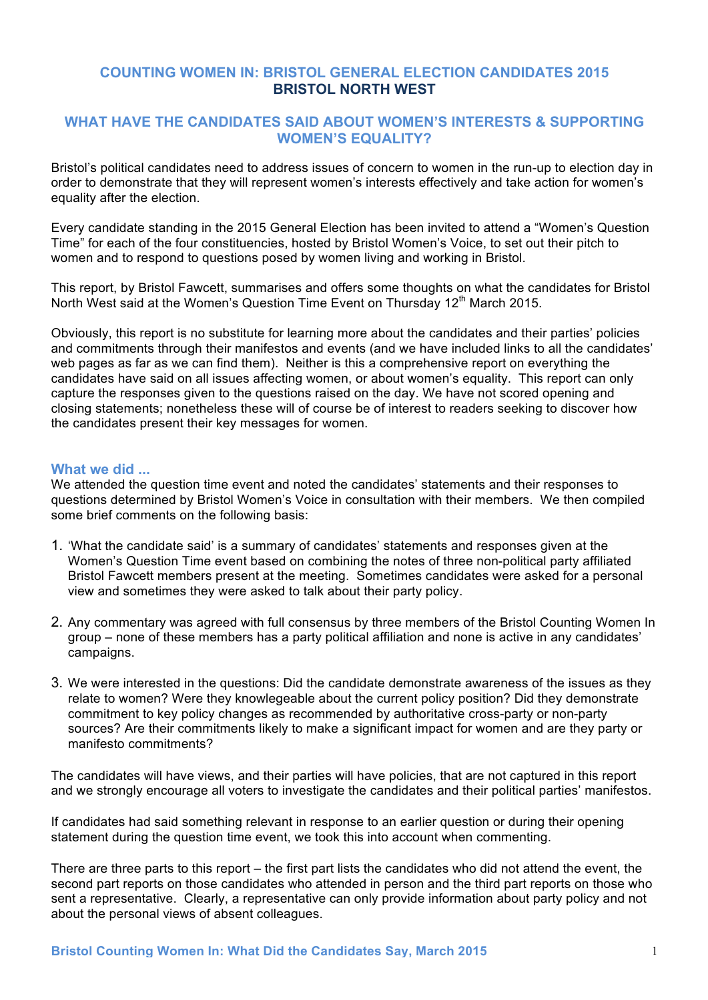### **COUNTING WOMEN IN: BRISTOL GENERAL ELECTION CANDIDATES 2015 BRISTOL NORTH WEST**

### **WHAT HAVE THE CANDIDATES SAID ABOUT WOMEN'S INTERESTS & SUPPORTING WOMEN'S EQUALITY?**

Bristol's political candidates need to address issues of concern to women in the run-up to election day in order to demonstrate that they will represent women's interests effectively and take action for women's equality after the election.

Every candidate standing in the 2015 General Election has been invited to attend a "Women's Question Time" for each of the four constituencies, hosted by Bristol Women's Voice, to set out their pitch to women and to respond to questions posed by women living and working in Bristol.

This report, by Bristol Fawcett, summarises and offers some thoughts on what the candidates for Bristol North West said at the Women's Question Time Event on Thursday 12<sup>th</sup> March 2015.

Obviously, this report is no substitute for learning more about the candidates and their parties' policies and commitments through their manifestos and events (and we have included links to all the candidates' web pages as far as we can find them). Neither is this a comprehensive report on everything the candidates have said on all issues affecting women, or about women's equality. This report can only capture the responses given to the questions raised on the day. We have not scored opening and closing statements; nonetheless these will of course be of interest to readers seeking to discover how the candidates present their key messages for women.

#### **What we did ...**

We attended the question time event and noted the candidates' statements and their responses to questions determined by Bristol Women's Voice in consultation with their members. We then compiled some brief comments on the following basis:

- 1. 'What the candidate said' is a summary of candidates' statements and responses given at the Women's Question Time event based on combining the notes of three non-political party affiliated Bristol Fawcett members present at the meeting. Sometimes candidates were asked for a personal view and sometimes they were asked to talk about their party policy.
- 2. Any commentary was agreed with full consensus by three members of the Bristol Counting Women In group – none of these members has a party political affiliation and none is active in any candidates' campaigns.
- 3. We were interested in the questions: Did the candidate demonstrate awareness of the issues as they relate to women? Were they knowlegeable about the current policy position? Did they demonstrate commitment to key policy changes as recommended by authoritative cross-party or non-party sources? Are their commitments likely to make a significant impact for women and are they party or manifesto commitments?

The candidates will have views, and their parties will have policies, that are not captured in this report and we strongly encourage all voters to investigate the candidates and their political parties' manifestos.

If candidates had said something relevant in response to an earlier question or during their opening statement during the question time event, we took this into account when commenting.

There are three parts to this report – the first part lists the candidates who did not attend the event, the second part reports on those candidates who attended in person and the third part reports on those who sent a representative. Clearly, a representative can only provide information about party policy and not about the personal views of absent colleagues.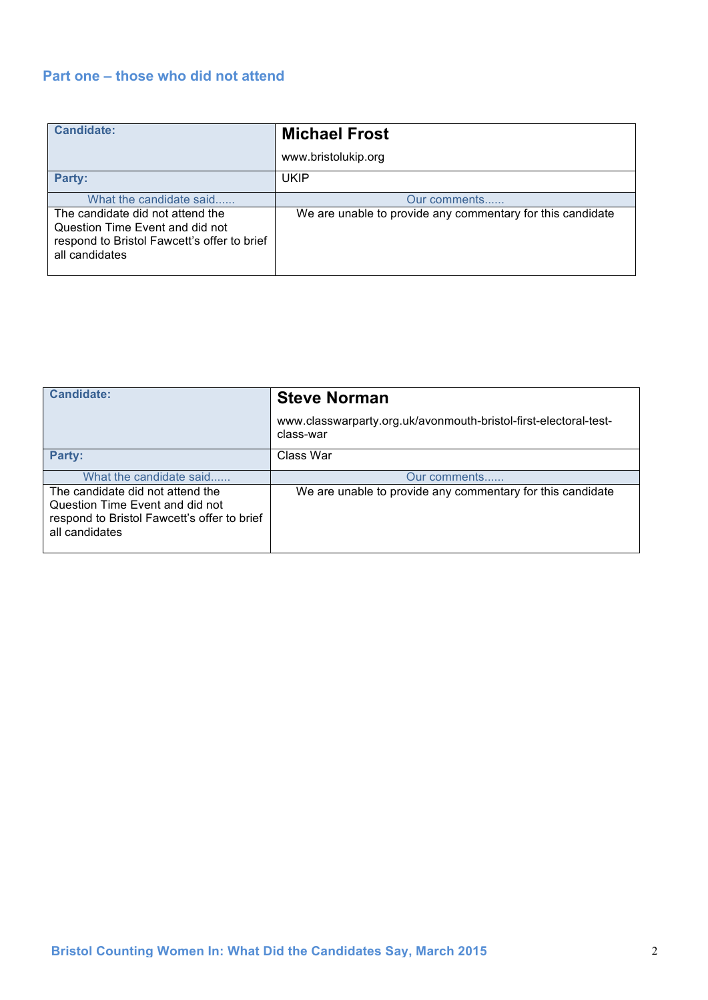## **Part one – those who did not attend**

| Candidate:                                                                                                                           | <b>Michael Frost</b>                                       |
|--------------------------------------------------------------------------------------------------------------------------------------|------------------------------------------------------------|
|                                                                                                                                      | www.bristolukip.org                                        |
| Party:                                                                                                                               | <b>UKIP</b>                                                |
| What the candidate said                                                                                                              | Our comments                                               |
| The candidate did not attend the<br>Question Time Event and did not<br>respond to Bristol Fawcett's offer to brief<br>all candidates | We are unable to provide any commentary for this candidate |

| <b>Candidate:</b>                                                                                                                    | <b>Steve Norman</b>                                                           |
|--------------------------------------------------------------------------------------------------------------------------------------|-------------------------------------------------------------------------------|
|                                                                                                                                      | www.classwarparty.org.uk/avonmouth-bristol-first-electoral-test-<br>class-war |
| Party:                                                                                                                               | Class War                                                                     |
| What the candidate said                                                                                                              | Our comments                                                                  |
| The candidate did not attend the<br>Question Time Event and did not<br>respond to Bristol Fawcett's offer to brief<br>all candidates | We are unable to provide any commentary for this candidate                    |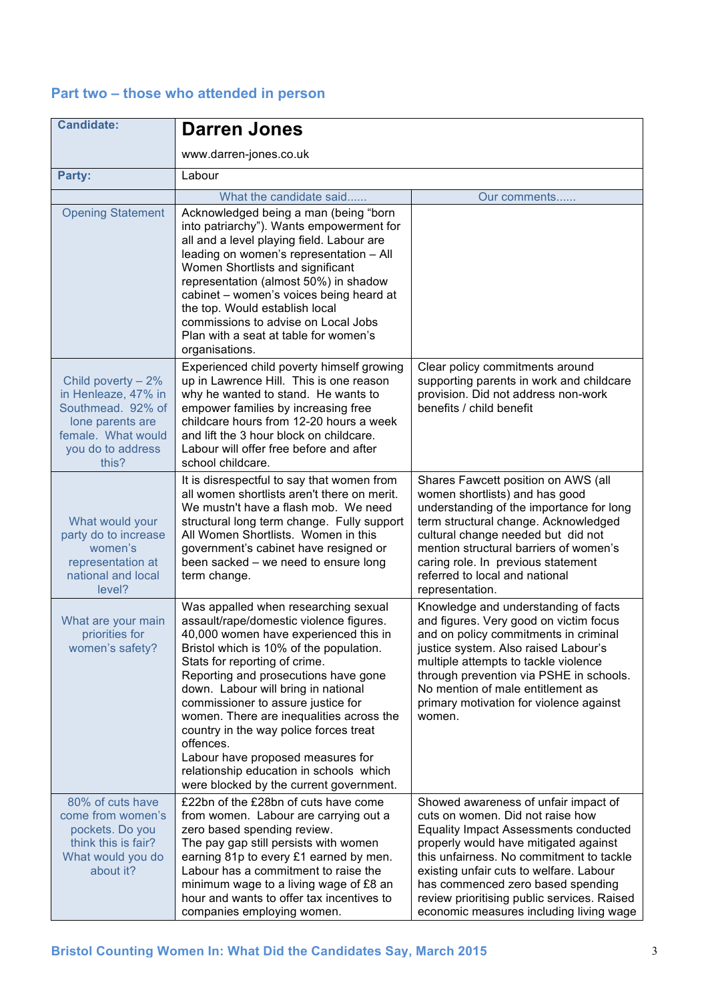# **Part two – those who attended in person**

| <b>Candidate:</b>                                                                                                                        | <b>Darren Jones</b>                                                                                                                                                                                                                                                                                                                                                                                                                                                                                                                                     |                                                                                                                                                                                                                                                                                                                                                                                         |
|------------------------------------------------------------------------------------------------------------------------------------------|---------------------------------------------------------------------------------------------------------------------------------------------------------------------------------------------------------------------------------------------------------------------------------------------------------------------------------------------------------------------------------------------------------------------------------------------------------------------------------------------------------------------------------------------------------|-----------------------------------------------------------------------------------------------------------------------------------------------------------------------------------------------------------------------------------------------------------------------------------------------------------------------------------------------------------------------------------------|
|                                                                                                                                          | www.darren-jones.co.uk                                                                                                                                                                                                                                                                                                                                                                                                                                                                                                                                  |                                                                                                                                                                                                                                                                                                                                                                                         |
| Party:                                                                                                                                   | Labour                                                                                                                                                                                                                                                                                                                                                                                                                                                                                                                                                  |                                                                                                                                                                                                                                                                                                                                                                                         |
|                                                                                                                                          | What the candidate said                                                                                                                                                                                                                                                                                                                                                                                                                                                                                                                                 | Our comments                                                                                                                                                                                                                                                                                                                                                                            |
| <b>Opening Statement</b>                                                                                                                 | Acknowledged being a man (being "born<br>into patriarchy"). Wants empowerment for<br>all and a level playing field. Labour are<br>leading on women's representation - All<br>Women Shortlists and significant<br>representation (almost 50%) in shadow<br>cabinet - women's voices being heard at<br>the top. Would establish local<br>commissions to advise on Local Jobs<br>Plan with a seat at table for women's<br>organisations.                                                                                                                   |                                                                                                                                                                                                                                                                                                                                                                                         |
| Child poverty $-2\%$<br>in Henleaze, 47% in<br>Southmead. 92% of<br>lone parents are<br>female. What would<br>you do to address<br>this? | Experienced child poverty himself growing<br>up in Lawrence Hill. This is one reason<br>why he wanted to stand. He wants to<br>empower families by increasing free<br>childcare hours from 12-20 hours a week<br>and lift the 3 hour block on childcare.<br>Labour will offer free before and after<br>school childcare.                                                                                                                                                                                                                                | Clear policy commitments around<br>supporting parents in work and childcare<br>provision. Did not address non-work<br>benefits / child benefit                                                                                                                                                                                                                                          |
| What would your<br>party do to increase<br>women's<br>representation at<br>national and local<br>level?                                  | It is disrespectful to say that women from<br>all women shortlists aren't there on merit.<br>We mustn't have a flash mob. We need<br>structural long term change. Fully support<br>All Women Shortlists. Women in this<br>government's cabinet have resigned or<br>been sacked – we need to ensure long<br>term change.                                                                                                                                                                                                                                 | Shares Fawcett position on AWS (all<br>women shortlists) and has good<br>understanding of the importance for long<br>term structural change. Acknowledged<br>cultural change needed but did not<br>mention structural barriers of women's<br>caring role. In previous statement<br>referred to local and national<br>representation.                                                    |
| What are your main<br>priorities for<br>women's safety?                                                                                  | Was appalled when researching sexual<br>assault/rape/domestic violence figures.<br>40,000 women have experienced this in<br>Bristol which is 10% of the population.<br>Stats for reporting of crime.<br>Reporting and prosecutions have gone<br>down. Labour will bring in national<br>commissioner to assure justice for<br>women. There are inequalities across the<br>country in the way police forces treat<br>offences.<br>Labour have proposed measures for<br>relationship education in schools which<br>were blocked by the current government. | Knowledge and understanding of facts<br>and figures. Very good on victim focus<br>and on policy commitments in criminal<br>justice system. Also raised Labour's<br>multiple attempts to tackle violence<br>through prevention via PSHE in schools.<br>No mention of male entitlement as<br>primary motivation for violence against<br>women.                                            |
| 80% of cuts have<br>come from women's<br>pockets. Do you<br>think this is fair?<br>What would you do<br>about it?                        | £22bn of the £28bn of cuts have come<br>from women. Labour are carrying out a<br>zero based spending review.<br>The pay gap still persists with women<br>earning 81p to every £1 earned by men.<br>Labour has a commitment to raise the<br>minimum wage to a living wage of £8 an<br>hour and wants to offer tax incentives to<br>companies employing women.                                                                                                                                                                                            | Showed awareness of unfair impact of<br>cuts on women. Did not raise how<br><b>Equality Impact Assessments conducted</b><br>properly would have mitigated against<br>this unfairness. No commitment to tackle<br>existing unfair cuts to welfare. Labour<br>has commenced zero based spending<br>review prioritising public services. Raised<br>economic measures including living wage |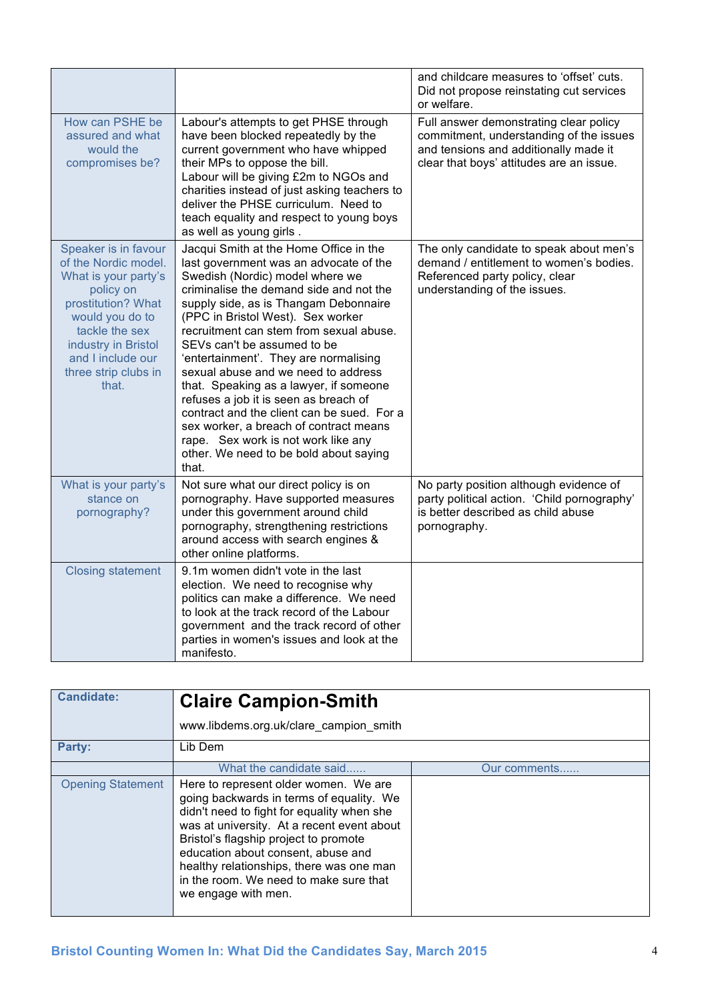|                                                                                                                                                                                                                           |                                                                                                                                                                                                                                                                                                                                                                                                                                                                                                                                                                                                                                                                             | and childcare measures to 'offset' cuts.<br>Did not propose reinstating cut services<br>or welfare.                                                                    |
|---------------------------------------------------------------------------------------------------------------------------------------------------------------------------------------------------------------------------|-----------------------------------------------------------------------------------------------------------------------------------------------------------------------------------------------------------------------------------------------------------------------------------------------------------------------------------------------------------------------------------------------------------------------------------------------------------------------------------------------------------------------------------------------------------------------------------------------------------------------------------------------------------------------------|------------------------------------------------------------------------------------------------------------------------------------------------------------------------|
| How can PSHE be<br>assured and what<br>would the<br>compromises be?                                                                                                                                                       | Labour's attempts to get PHSE through<br>have been blocked repeatedly by the<br>current government who have whipped<br>their MPs to oppose the bill.<br>Labour will be giving £2m to NGOs and<br>charities instead of just asking teachers to<br>deliver the PHSE curriculum. Need to<br>teach equality and respect to young boys<br>as well as young girls.                                                                                                                                                                                                                                                                                                                | Full answer demonstrating clear policy<br>commitment, understanding of the issues<br>and tensions and additionally made it<br>clear that boys' attitudes are an issue. |
| Speaker is in favour<br>of the Nordic model.<br>What is your party's<br>policy on<br>prostitution? What<br>would you do to<br>tackle the sex<br>industry in Bristol<br>and I include our<br>three strip clubs in<br>that. | Jacqui Smith at the Home Office in the<br>last government was an advocate of the<br>Swedish (Nordic) model where we<br>criminalise the demand side and not the<br>supply side, as is Thangam Debonnaire<br>(PPC in Bristol West). Sex worker<br>recruitment can stem from sexual abuse.<br>SEVs can't be assumed to be<br>'entertainment'. They are normalising<br>sexual abuse and we need to address<br>that. Speaking as a lawyer, if someone<br>refuses a job it is seen as breach of<br>contract and the client can be sued. For a<br>sex worker, a breach of contract means<br>rape. Sex work is not work like any<br>other. We need to be bold about saying<br>that. | The only candidate to speak about men's<br>demand / entitlement to women's bodies.<br>Referenced party policy, clear<br>understanding of the issues.                   |
| What is your party's<br>stance on<br>pornography?                                                                                                                                                                         | Not sure what our direct policy is on<br>pornography. Have supported measures<br>under this government around child<br>pornography, strengthening restrictions<br>around access with search engines &<br>other online platforms.                                                                                                                                                                                                                                                                                                                                                                                                                                            | No party position although evidence of<br>party political action. 'Child pornography'<br>is better described as child abuse<br>pornography.                            |
| <b>Closing statement</b>                                                                                                                                                                                                  | 9.1m women didn't vote in the last<br>election. We need to recognise why<br>politics can make a difference. We need<br>to look at the track record of the Labour<br>government and the track record of other<br>parties in women's issues and look at the<br>manifesto.                                                                                                                                                                                                                                                                                                                                                                                                     |                                                                                                                                                                        |

| <b>Candidate:</b>        | <b>Claire Campion-Smith</b>                                                                                                                                                                                                                                                                                                                                               |              |
|--------------------------|---------------------------------------------------------------------------------------------------------------------------------------------------------------------------------------------------------------------------------------------------------------------------------------------------------------------------------------------------------------------------|--------------|
|                          | www.libdems.org.uk/clare campion smith                                                                                                                                                                                                                                                                                                                                    |              |
| <b>Party:</b>            | Lib Dem                                                                                                                                                                                                                                                                                                                                                                   |              |
|                          | What the candidate said                                                                                                                                                                                                                                                                                                                                                   | Our comments |
| <b>Opening Statement</b> | Here to represent older women. We are<br>going backwards in terms of equality. We<br>didn't need to fight for equality when she<br>was at university. At a recent event about<br>Bristol's flagship project to promote<br>education about consent, abuse and<br>healthy relationships, there was one man<br>in the room. We need to make sure that<br>we engage with men. |              |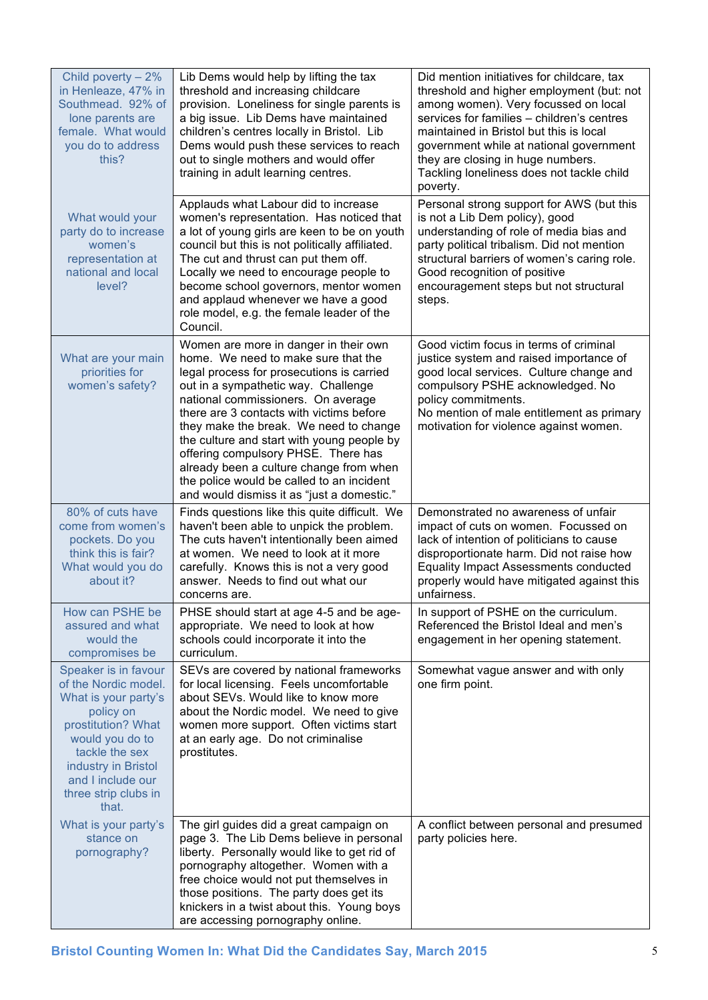| Child poverty - 2%<br>in Henleaze, 47% in<br>Southmead. 92% of<br>lone parents are<br>female. What would<br>you do to address<br>this?                                                                                    | Lib Dems would help by lifting the tax<br>threshold and increasing childcare<br>provision. Loneliness for single parents is<br>a big issue. Lib Dems have maintained<br>children's centres locally in Bristol. Lib<br>Dems would push these services to reach<br>out to single mothers and would offer<br>training in adult learning centres.                                                                                                                                                                           | Did mention initiatives for childcare, tax<br>threshold and higher employment (but: not<br>among women). Very focussed on local<br>services for families - children's centres<br>maintained in Bristol but this is local<br>government while at national government<br>they are closing in huge numbers.<br>Tackling loneliness does not tackle child<br>poverty. |
|---------------------------------------------------------------------------------------------------------------------------------------------------------------------------------------------------------------------------|-------------------------------------------------------------------------------------------------------------------------------------------------------------------------------------------------------------------------------------------------------------------------------------------------------------------------------------------------------------------------------------------------------------------------------------------------------------------------------------------------------------------------|-------------------------------------------------------------------------------------------------------------------------------------------------------------------------------------------------------------------------------------------------------------------------------------------------------------------------------------------------------------------|
| What would your<br>party do to increase<br>women's<br>representation at<br>national and local<br>level?                                                                                                                   | Applauds what Labour did to increase<br>women's representation. Has noticed that<br>a lot of young girls are keen to be on youth<br>council but this is not politically affiliated.<br>The cut and thrust can put them off.<br>Locally we need to encourage people to<br>become school governors, mentor women<br>and applaud whenever we have a good<br>role model, e.g. the female leader of the<br>Council.                                                                                                          | Personal strong support for AWS (but this<br>is not a Lib Dem policy), good<br>understanding of role of media bias and<br>party political tribalism. Did not mention<br>structural barriers of women's caring role.<br>Good recognition of positive<br>encouragement steps but not structural<br>steps.                                                           |
| What are your main<br>priorities for<br>women's safety?                                                                                                                                                                   | Women are more in danger in their own<br>home. We need to make sure that the<br>legal process for prosecutions is carried<br>out in a sympathetic way. Challenge<br>national commissioners. On average<br>there are 3 contacts with victims before<br>they make the break. We need to change<br>the culture and start with young people by<br>offering compulsory PHSE. There has<br>already been a culture change from when<br>the police would be called to an incident<br>and would dismiss it as "just a domestic." | Good victim focus in terms of criminal<br>justice system and raised importance of<br>good local services. Culture change and<br>compulsory PSHE acknowledged. No<br>policy commitments.<br>No mention of male entitlement as primary<br>motivation for violence against women.                                                                                    |
| 80% of cuts have<br>come from women's<br>pockets. Do you<br>think this is fair?<br>What would you do<br>about it?                                                                                                         | Finds questions like this quite difficult. We<br>haven't been able to unpick the problem.<br>The cuts haven't intentionally been aimed<br>at women. We need to look at it more<br>carefully. Knows this is not a very good<br>answer. Needs to find out what our<br>concerns are.                                                                                                                                                                                                                                       | Demonstrated no awareness of unfair<br>impact of cuts on women. Focussed on<br>lack of intention of politicians to cause<br>disproportionate harm. Did not raise how<br><b>Equality Impact Assessments conducted</b><br>properly would have mitigated against this<br>unfairness.                                                                                 |
| How can PSHE be<br>assured and what<br>would the<br>compromises be                                                                                                                                                        | PHSE should start at age 4-5 and be age-<br>appropriate. We need to look at how<br>schools could incorporate it into the<br>curriculum.                                                                                                                                                                                                                                                                                                                                                                                 | In support of PSHE on the curriculum.<br>Referenced the Bristol Ideal and men's<br>engagement in her opening statement.                                                                                                                                                                                                                                           |
| Speaker is in favour<br>of the Nordic model.<br>What is your party's<br>policy on<br>prostitution? What<br>would you do to<br>tackle the sex<br>industry in Bristol<br>and I include our<br>three strip clubs in<br>that. | SEVs are covered by national frameworks<br>for local licensing. Feels uncomfortable<br>about SEVs. Would like to know more<br>about the Nordic model. We need to give<br>women more support. Often victims start<br>at an early age. Do not criminalise<br>prostitutes.                                                                                                                                                                                                                                                 | Somewhat vague answer and with only<br>one firm point.                                                                                                                                                                                                                                                                                                            |
| What is your party's<br>stance on<br>pornography?                                                                                                                                                                         | The girl guides did a great campaign on<br>page 3. The Lib Dems believe in personal<br>liberty. Personally would like to get rid of<br>pornography altogether. Women with a<br>free choice would not put themselves in<br>those positions. The party does get its<br>knickers in a twist about this. Young boys<br>are accessing pornography online.                                                                                                                                                                    | A conflict between personal and presumed<br>party policies here.                                                                                                                                                                                                                                                                                                  |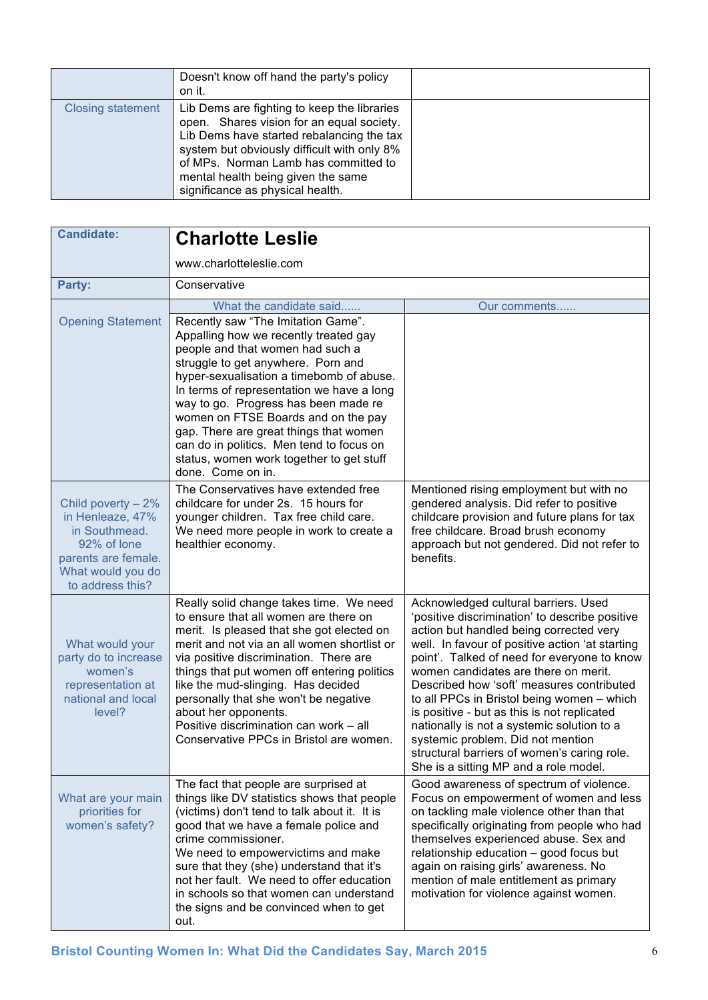|                          | Doesn't know off hand the party's policy<br>on it.                                                                                                                                                                                                                                                     |  |
|--------------------------|--------------------------------------------------------------------------------------------------------------------------------------------------------------------------------------------------------------------------------------------------------------------------------------------------------|--|
| <b>Closing statement</b> | Lib Dems are fighting to keep the libraries<br>open. Shares vision for an equal society.<br>Lib Dems have started rebalancing the tax<br>system but obviously difficult with only 8%<br>of MPs. Norman Lamb has committed to<br>mental health being given the same<br>significance as physical health. |  |

| <b>Candidate:</b>                                                                                                                       | <b>Charlotte Leslie</b>                                                                                                                                                                                                                                                                                                                                                                                                                                                              |                                                                                                                                                                                                                                                                                                                                                                                                                                                                                                                                                                                                  |
|-----------------------------------------------------------------------------------------------------------------------------------------|--------------------------------------------------------------------------------------------------------------------------------------------------------------------------------------------------------------------------------------------------------------------------------------------------------------------------------------------------------------------------------------------------------------------------------------------------------------------------------------|--------------------------------------------------------------------------------------------------------------------------------------------------------------------------------------------------------------------------------------------------------------------------------------------------------------------------------------------------------------------------------------------------------------------------------------------------------------------------------------------------------------------------------------------------------------------------------------------------|
|                                                                                                                                         | www.charlotteleslie.com                                                                                                                                                                                                                                                                                                                                                                                                                                                              |                                                                                                                                                                                                                                                                                                                                                                                                                                                                                                                                                                                                  |
| Party:                                                                                                                                  | Conservative                                                                                                                                                                                                                                                                                                                                                                                                                                                                         |                                                                                                                                                                                                                                                                                                                                                                                                                                                                                                                                                                                                  |
|                                                                                                                                         | What the candidate said                                                                                                                                                                                                                                                                                                                                                                                                                                                              | Our comments                                                                                                                                                                                                                                                                                                                                                                                                                                                                                                                                                                                     |
| <b>Opening Statement</b>                                                                                                                | Recently saw "The Imitation Game".<br>Appalling how we recently treated gay<br>people and that women had such a<br>struggle to get anywhere. Porn and<br>hyper-sexualisation a timebomb of abuse.<br>In terms of representation we have a long<br>way to go. Progress has been made re<br>women on FTSE Boards and on the pay<br>gap. There are great things that women<br>can do in politics. Men tend to focus on<br>status, women work together to get stuff<br>done. Come on in. |                                                                                                                                                                                                                                                                                                                                                                                                                                                                                                                                                                                                  |
| Child poverty $-2%$<br>in Henleaze, 47%<br>in Southmead.<br>92% of lone<br>parents are female.<br>What would you do<br>to address this? | The Conservatives have extended free<br>childcare for under 2s. 15 hours for<br>younger children. Tax free child care.<br>We need more people in work to create a<br>healthier economy.                                                                                                                                                                                                                                                                                              | Mentioned rising employment but with no<br>gendered analysis. Did refer to positive<br>childcare provision and future plans for tax<br>free childcare. Broad brush economy<br>approach but not gendered. Did not refer to<br>benefits.                                                                                                                                                                                                                                                                                                                                                           |
| What would your<br>party do to increase<br>women's<br>representation at<br>national and local<br>level?                                 | Really solid change takes time. We need<br>to ensure that all women are there on<br>merit. Is pleased that she got elected on<br>merit and not via an all women shortlist or<br>via positive discrimination. There are<br>things that put women off entering politics<br>like the mud-slinging. Has decided<br>personally that she won't be negative<br>about her opponents.<br>Positive discrimination can work - all<br>Conservative PPCs in Bristol are women.                    | Acknowledged cultural barriers. Used<br>'positive discrimination' to describe positive<br>action but handled being corrected very<br>well. In favour of positive action 'at starting<br>point'. Talked of need for everyone to know<br>women candidates are there on merit.<br>Described how 'soft' measures contributed<br>to all PPCs in Bristol being women - which<br>is positive - but as this is not replicated<br>nationally is not a systemic solution to a<br>systemic problem. Did not mention<br>structural barriers of women's caring role.<br>She is a sitting MP and a role model. |
| What are your main<br>priorities for<br>women's safety?                                                                                 | The fact that people are surprised at<br>things like DV statistics shows that people<br>(victims) don't tend to talk about it. It is<br>good that we have a female police and<br>crime commissioner.<br>We need to empowervictims and make<br>sure that they (she) understand that it's<br>not her fault. We need to offer education<br>in schools so that women can understand<br>the signs and be convinced when to get<br>out.                                                    | Good awareness of spectrum of violence.<br>Focus on empowerment of women and less<br>on tackling male violence other than that<br>specifically originating from people who had<br>themselves experienced abuse. Sex and<br>relationship education - good focus but<br>again on raising girls' awareness. No<br>mention of male entitlement as primary<br>motivation for violence against women.                                                                                                                                                                                                  |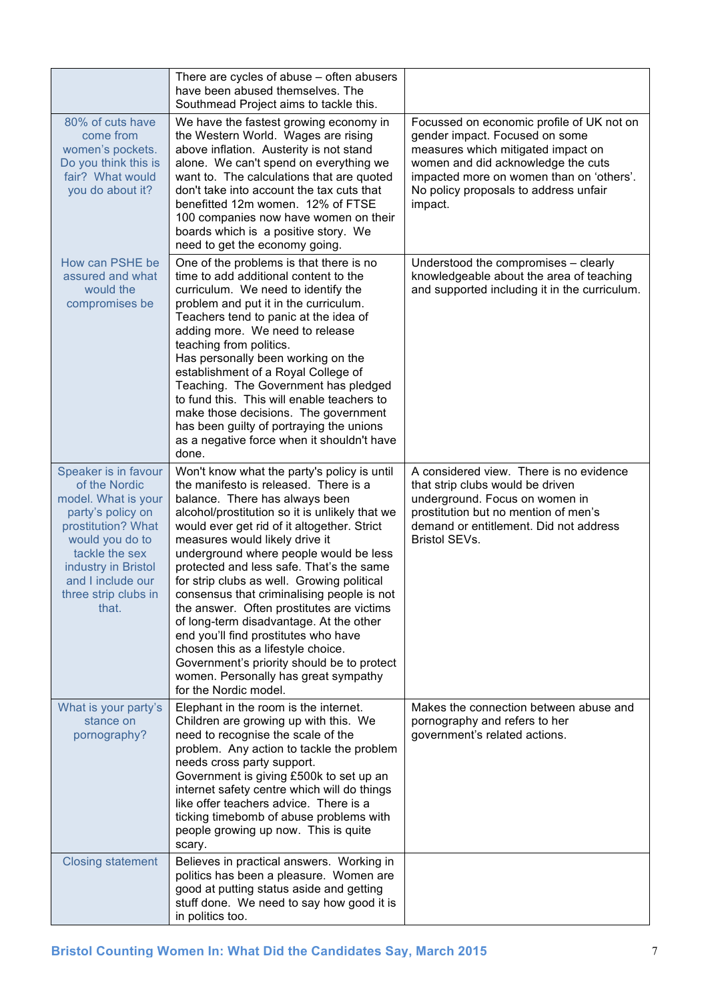|                                                                                                                                                                                                                           | There are cycles of abuse – often abusers<br>have been abused themselves. The<br>Southmead Project aims to tackle this.                                                                                                                                                                                                                                                                                                                                                                                                                                                                                                                                                                                                          |                                                                                                                                                                                                                                                         |
|---------------------------------------------------------------------------------------------------------------------------------------------------------------------------------------------------------------------------|----------------------------------------------------------------------------------------------------------------------------------------------------------------------------------------------------------------------------------------------------------------------------------------------------------------------------------------------------------------------------------------------------------------------------------------------------------------------------------------------------------------------------------------------------------------------------------------------------------------------------------------------------------------------------------------------------------------------------------|---------------------------------------------------------------------------------------------------------------------------------------------------------------------------------------------------------------------------------------------------------|
| 80% of cuts have<br>come from<br>women's pockets.<br>Do you think this is<br>fair? What would<br>you do about it?                                                                                                         | We have the fastest growing economy in<br>the Western World. Wages are rising<br>above inflation. Austerity is not stand<br>alone. We can't spend on everything we<br>want to. The calculations that are quoted<br>don't take into account the tax cuts that<br>benefitted 12m women. 12% of FTSE<br>100 companies now have women on their<br>boards which is a positive story. We<br>need to get the economy going.                                                                                                                                                                                                                                                                                                             | Focussed on economic profile of UK not on<br>gender impact. Focused on some<br>measures which mitigated impact on<br>women and did acknowledge the cuts<br>impacted more on women than on 'others'.<br>No policy proposals to address unfair<br>impact. |
| How can PSHE be<br>assured and what<br>would the<br>compromises be                                                                                                                                                        | One of the problems is that there is no<br>time to add additional content to the<br>curriculum. We need to identify the<br>problem and put it in the curriculum.<br>Teachers tend to panic at the idea of<br>adding more. We need to release<br>teaching from politics.<br>Has personally been working on the<br>establishment of a Royal College of<br>Teaching. The Government has pledged<br>to fund this. This will enable teachers to<br>make those decisions. The government<br>has been guilty of portraying the unions<br>as a negative force when it shouldn't have<br>done.                                                                                                                                            | Understood the compromises - clearly<br>knowledgeable about the area of teaching<br>and supported including it in the curriculum.                                                                                                                       |
| Speaker is in favour<br>of the Nordic<br>model. What is your<br>party's policy on<br>prostitution? What<br>would you do to<br>tackle the sex<br>industry in Bristol<br>and I include our<br>three strip clubs in<br>that. | Won't know what the party's policy is until<br>the manifesto is released. There is a<br>balance. There has always been<br>alcohol/prostitution so it is unlikely that we<br>would ever get rid of it altogether. Strict<br>measures would likely drive it<br>underground where people would be less<br>protected and less safe. That's the same<br>for strip clubs as well. Growing political<br>consensus that criminalising people is not<br>the answer. Often prostitutes are victims<br>of long-term disadvantage. At the other<br>end you'll find prostitutes who have<br>chosen this as a lifestyle choice.<br>Government's priority should be to protect<br>women. Personally has great sympathy<br>for the Nordic model. | A considered view. There is no evidence<br>that strip clubs would be driven<br>underground. Focus on women in<br>prostitution but no mention of men's<br>demand or entitlement. Did not address<br>Bristol SEVs.                                        |
| What is your party's<br>stance on<br>pornography?                                                                                                                                                                         | Elephant in the room is the internet.<br>Children are growing up with this. We<br>need to recognise the scale of the<br>problem. Any action to tackle the problem<br>needs cross party support.<br>Government is giving £500k to set up an<br>internet safety centre which will do things<br>like offer teachers advice. There is a<br>ticking timebomb of abuse problems with<br>people growing up now. This is quite<br>scary.                                                                                                                                                                                                                                                                                                 | Makes the connection between abuse and<br>pornography and refers to her<br>government's related actions.                                                                                                                                                |
| <b>Closing statement</b>                                                                                                                                                                                                  | Believes in practical answers. Working in<br>politics has been a pleasure. Women are<br>good at putting status aside and getting<br>stuff done. We need to say how good it is<br>in politics too.                                                                                                                                                                                                                                                                                                                                                                                                                                                                                                                                |                                                                                                                                                                                                                                                         |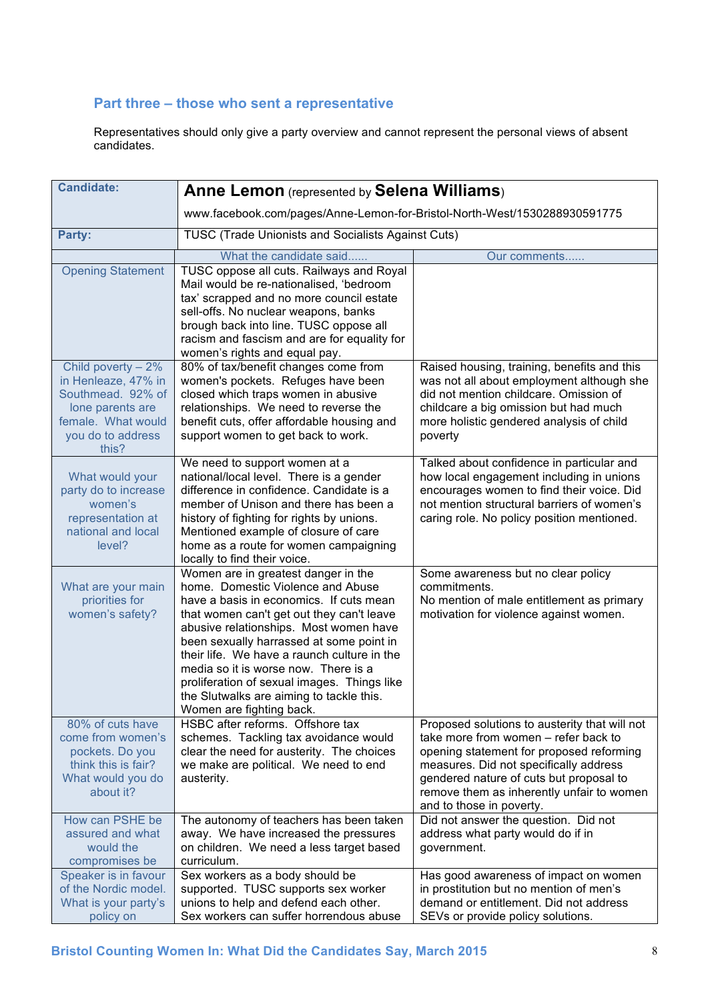### **Part three – those who sent a representative**

Representatives should only give a party overview and cannot represent the personal views of absent candidates.

| <b>Candidate:</b>                            | <b>Anne Lemon</b> (represented by Selena Williams)                                  |                                                                                  |
|----------------------------------------------|-------------------------------------------------------------------------------------|----------------------------------------------------------------------------------|
|                                              | www.facebook.com/pages/Anne-Lemon-for-Bristol-North-West/1530288930591775           |                                                                                  |
| Party:                                       | TUSC (Trade Unionists and Socialists Against Cuts)                                  |                                                                                  |
|                                              |                                                                                     |                                                                                  |
|                                              | What the candidate said                                                             | Our comments                                                                     |
| <b>Opening Statement</b>                     | TUSC oppose all cuts. Railways and Royal                                            |                                                                                  |
|                                              | Mail would be re-nationalised, 'bedroom<br>tax' scrapped and no more council estate |                                                                                  |
|                                              | sell-offs. No nuclear weapons, banks                                                |                                                                                  |
|                                              | brough back into line. TUSC oppose all                                              |                                                                                  |
|                                              | racism and fascism and are for equality for                                         |                                                                                  |
|                                              | women's rights and equal pay.                                                       |                                                                                  |
| Child poverty $-2%$                          | 80% of tax/benefit changes come from                                                | Raised housing, training, benefits and this                                      |
| in Henleaze, 47% in                          | women's pockets. Refuges have been                                                  | was not all about employment although she                                        |
| Southmead. 92% of                            | closed which traps women in abusive                                                 | did not mention childcare. Omission of                                           |
| lone parents are                             | relationships. We need to reverse the                                               | childcare a big omission but had much                                            |
| female. What would                           | benefit cuts, offer affordable housing and                                          | more holistic gendered analysis of child                                         |
| you do to address                            | support women to get back to work.                                                  | poverty                                                                          |
| this?                                        |                                                                                     |                                                                                  |
|                                              | We need to support women at a                                                       | Talked about confidence in particular and                                        |
| What would your                              | national/local level. There is a gender                                             | how local engagement including in unions                                         |
| party do to increase                         | difference in confidence. Candidate is a                                            | encourages women to find their voice. Did                                        |
| women's<br>representation at                 | member of Unison and there has been a                                               | not mention structural barriers of women's                                       |
| national and local                           | history of fighting for rights by unions.<br>Mentioned example of closure of care   | caring role. No policy position mentioned.                                       |
| level?                                       | home as a route for women campaigning                                               |                                                                                  |
|                                              | locally to find their voice.                                                        |                                                                                  |
|                                              | Women are in greatest danger in the                                                 | Some awareness but no clear policy                                               |
| What are your main                           | home. Domestic Violence and Abuse                                                   | commitments.                                                                     |
| priorities for                               | have a basis in economics. If cuts mean                                             | No mention of male entitlement as primary                                        |
| women's safety?                              | that women can't get out they can't leave                                           | motivation for violence against women.                                           |
|                                              | abusive relationships. Most women have                                              |                                                                                  |
|                                              | been sexually harrassed at some point in                                            |                                                                                  |
|                                              | their life. We have a raunch culture in the                                         |                                                                                  |
|                                              | media so it is worse now. There is a                                                |                                                                                  |
|                                              | proliferation of sexual images. Things like                                         |                                                                                  |
|                                              | the Slutwalks are aiming to tackle this.<br>Women are fighting back.                |                                                                                  |
| 80% of cuts have                             | HSBC after reforms. Offshore tax                                                    | Proposed solutions to austerity that will not                                    |
| come from women's                            | schemes. Tackling tax avoidance would                                               | take more from women – refer back to                                             |
| pockets. Do you                              | clear the need for austerity. The choices                                           | opening statement for proposed reforming                                         |
| think this is fair?                          | we make are political. We need to end                                               | measures. Did not specifically address                                           |
| What would you do                            | austerity.                                                                          | gendered nature of cuts but proposal to                                          |
| about it?                                    |                                                                                     | remove them as inherently unfair to women                                        |
|                                              |                                                                                     | and to those in poverty.                                                         |
| How can PSHE be                              | The autonomy of teachers has been taken                                             | Did not answer the question. Did not                                             |
| assured and what                             | away. We have increased the pressures                                               | address what party would do if in                                                |
| would the                                    | on children. We need a less target based                                            | government.                                                                      |
| compromises be                               | curriculum.                                                                         |                                                                                  |
| Speaker is in favour<br>of the Nordic model. | Sex workers as a body should be                                                     | Has good awareness of impact on women<br>in prostitution but no mention of men's |
| What is your party's                         | supported. TUSC supports sex worker<br>unions to help and defend each other.        | demand or entitlement. Did not address                                           |
| policy on                                    | Sex workers can suffer horrendous abuse                                             | SEVs or provide policy solutions.                                                |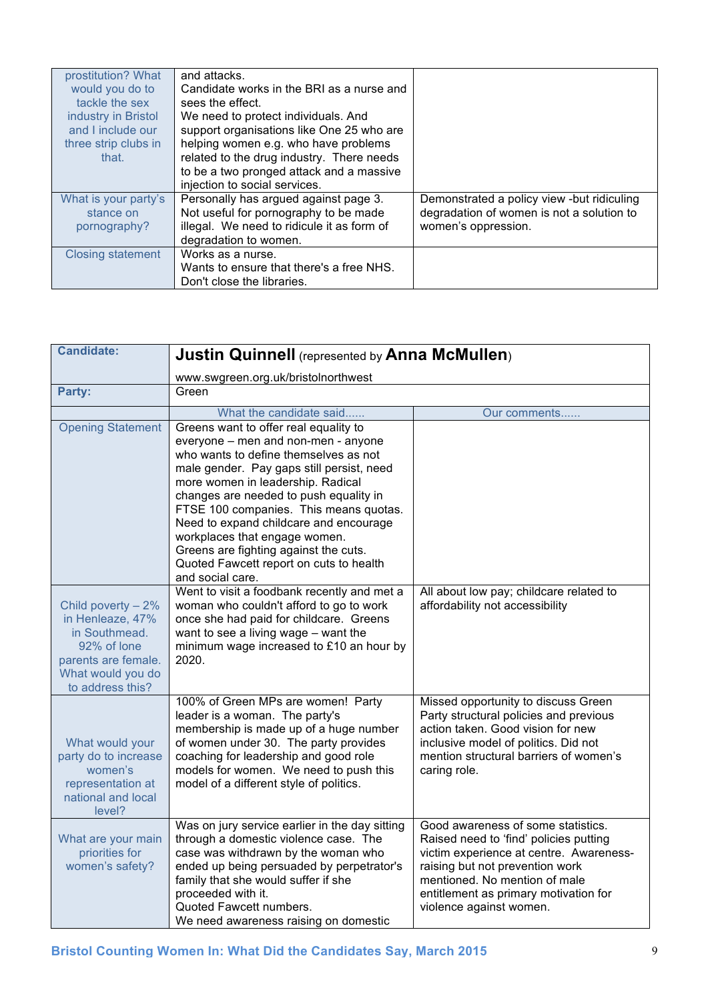| prostitution? What       | and attacks.                               |                                            |
|--------------------------|--------------------------------------------|--------------------------------------------|
| would you do to          | Candidate works in the BRI as a nurse and  |                                            |
| tackle the sex           | sees the effect.                           |                                            |
| industry in Bristol      | We need to protect individuals. And        |                                            |
| and I include our        | support organisations like One 25 who are  |                                            |
| three strip clubs in     | helping women e.g. who have problems       |                                            |
| that.                    | related to the drug industry. There needs  |                                            |
|                          | to be a two pronged attack and a massive   |                                            |
|                          | injection to social services.              |                                            |
| What is your party's     | Personally has argued against page 3.      | Demonstrated a policy view -but ridiculing |
| stance on                | Not useful for pornography to be made      | degradation of women is not a solution to  |
| pornography?             | illegal. We need to ridicule it as form of | women's oppression.                        |
|                          | degradation to women.                      |                                            |
| <b>Closing statement</b> | Works as a nurse.                          |                                            |
|                          | Wants to ensure that there's a free NHS.   |                                            |
|                          | Don't close the libraries.                 |                                            |

| <b>Candidate:</b>                                                                                                                      | <b>Justin Quinnell</b> (represented by Anna McMullen)                                                                                                                                                                                                                                                                                                                                                                                                                          |                                                                                                                                                                                                                                                                 |
|----------------------------------------------------------------------------------------------------------------------------------------|--------------------------------------------------------------------------------------------------------------------------------------------------------------------------------------------------------------------------------------------------------------------------------------------------------------------------------------------------------------------------------------------------------------------------------------------------------------------------------|-----------------------------------------------------------------------------------------------------------------------------------------------------------------------------------------------------------------------------------------------------------------|
|                                                                                                                                        | www.swgreen.org.uk/bristolnorthwest                                                                                                                                                                                                                                                                                                                                                                                                                                            |                                                                                                                                                                                                                                                                 |
| Party:                                                                                                                                 | Green                                                                                                                                                                                                                                                                                                                                                                                                                                                                          |                                                                                                                                                                                                                                                                 |
|                                                                                                                                        | What the candidate said                                                                                                                                                                                                                                                                                                                                                                                                                                                        | Our comments                                                                                                                                                                                                                                                    |
| <b>Opening Statement</b>                                                                                                               | Greens want to offer real equality to<br>everyone - men and non-men - anyone<br>who wants to define themselves as not<br>male gender. Pay gaps still persist, need<br>more women in leadership. Radical<br>changes are needed to push equality in<br>FTSE 100 companies. This means quotas.<br>Need to expand childcare and encourage<br>workplaces that engage women.<br>Greens are fighting against the cuts.<br>Quoted Fawcett report on cuts to health<br>and social care. |                                                                                                                                                                                                                                                                 |
| Child poverty - 2%<br>in Henleaze, 47%<br>in Southmead.<br>92% of lone<br>parents are female.<br>What would you do<br>to address this? | Went to visit a foodbank recently and met a<br>woman who couldn't afford to go to work<br>once she had paid for childcare. Greens<br>want to see a living wage - want the<br>minimum wage increased to £10 an hour by<br>2020.                                                                                                                                                                                                                                                 | All about low pay; childcare related to<br>affordability not accessibility                                                                                                                                                                                      |
| What would your<br>party do to increase<br>women's<br>representation at<br>national and local<br>level?                                | 100% of Green MPs are women! Party<br>leader is a woman. The party's<br>membership is made up of a huge number<br>of women under 30. The party provides<br>coaching for leadership and good role<br>models for women. We need to push this<br>model of a different style of politics.                                                                                                                                                                                          | Missed opportunity to discuss Green<br>Party structural policies and previous<br>action taken. Good vision for new<br>inclusive model of politics. Did not<br>mention structural barriers of women's<br>caring role.                                            |
| What are your main<br>priorities for<br>women's safety?                                                                                | Was on jury service earlier in the day sitting<br>through a domestic violence case. The<br>case was withdrawn by the woman who<br>ended up being persuaded by perpetrator's<br>family that she would suffer if she<br>proceeded with it.<br>Quoted Fawcett numbers.<br>We need awareness raising on domestic                                                                                                                                                                   | Good awareness of some statistics.<br>Raised need to 'find' policies putting<br>victim experience at centre. Awareness-<br>raising but not prevention work<br>mentioned. No mention of male<br>entitlement as primary motivation for<br>violence against women. |